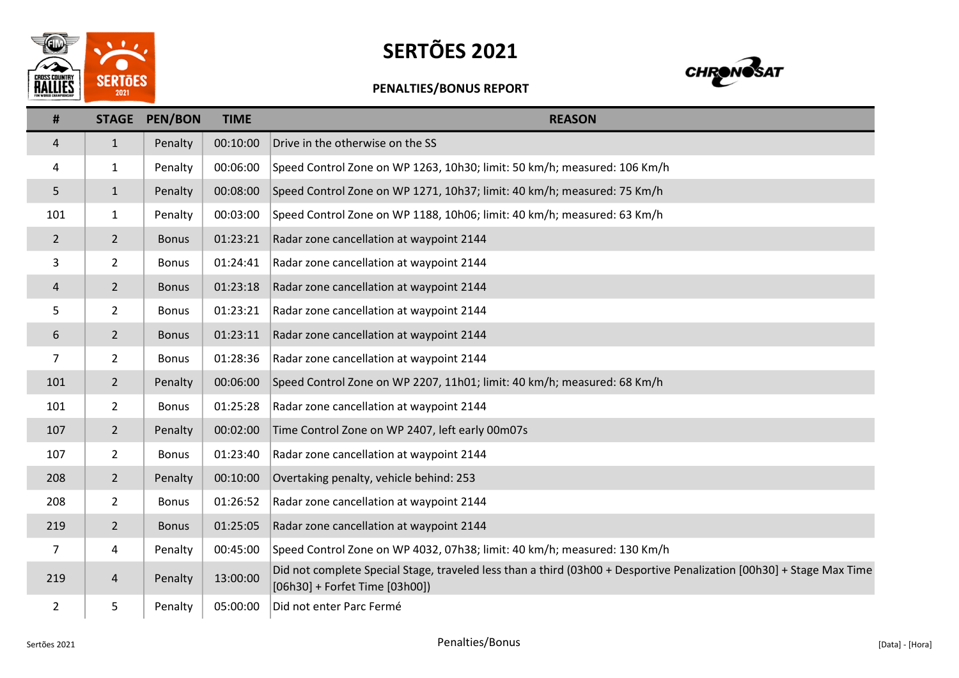

## SERTÕES 2021



## PENALTIES/BONUS REPORT

| #              | <b>STAGE</b>   | <b>PEN/BON</b> | <b>TIME</b> | <b>REASON</b>                                                                                                                                          |
|----------------|----------------|----------------|-------------|--------------------------------------------------------------------------------------------------------------------------------------------------------|
| 4              | $\mathbf{1}$   | Penalty        | 00:10:00    | Drive in the otherwise on the SS                                                                                                                       |
| 4              | 1              | Penalty        | 00:06:00    | Speed Control Zone on WP 1263, 10h30; limit: 50 km/h; measured: 106 Km/h                                                                               |
| 5              | $\mathbf{1}$   | Penalty        | 00:08:00    | Speed Control Zone on WP 1271, 10h37; limit: 40 km/h; measured: 75 Km/h                                                                                |
| 101            | $\mathbf{1}$   | Penalty        | 00:03:00    | Speed Control Zone on WP 1188, 10h06; limit: 40 km/h; measured: 63 Km/h                                                                                |
| $\overline{2}$ | $2^{\circ}$    | <b>Bonus</b>   | 01:23:21    | Radar zone cancellation at waypoint 2144                                                                                                               |
| 3              | $\overline{2}$ | <b>Bonus</b>   | 01:24:41    | Radar zone cancellation at waypoint 2144                                                                                                               |
| 4              | $\overline{2}$ | <b>Bonus</b>   | 01:23:18    | Radar zone cancellation at waypoint 2144                                                                                                               |
| 5              | $\overline{2}$ | <b>Bonus</b>   | 01:23:21    | Radar zone cancellation at waypoint 2144                                                                                                               |
| 6              | $2^{\circ}$    | <b>Bonus</b>   | 01:23:11    | Radar zone cancellation at waypoint 2144                                                                                                               |
| $\overline{7}$ | $2^{\circ}$    | <b>Bonus</b>   | 01:28:36    | Radar zone cancellation at waypoint 2144                                                                                                               |
| 101            | $2^{\circ}$    | Penalty        | 00:06:00    | Speed Control Zone on WP 2207, 11h01; limit: 40 km/h; measured: 68 Km/h                                                                                |
| 101            | $2^{\circ}$    | <b>Bonus</b>   | 01:25:28    | Radar zone cancellation at waypoint 2144                                                                                                               |
| 107            | $2^{\circ}$    | Penalty        | 00:02:00    | Time Control Zone on WP 2407, left early 00m07s                                                                                                        |
| 107            | $\overline{2}$ | <b>Bonus</b>   | 01:23:40    | Radar zone cancellation at waypoint 2144                                                                                                               |
| 208            | $2^{\circ}$    | Penalty        | 00:10:00    | Overtaking penalty, vehicle behind: 253                                                                                                                |
| 208            | $\overline{2}$ | <b>Bonus</b>   | 01:26:52    | Radar zone cancellation at waypoint 2144                                                                                                               |
| 219            | $2^{\circ}$    | <b>Bonus</b>   | 01:25:05    | Radar zone cancellation at waypoint 2144                                                                                                               |
| 7              | 4              | Penalty        | 00:45:00    | Speed Control Zone on WP 4032, 07h38; limit: 40 km/h; measured: 130 Km/h                                                                               |
| 219            | $\overline{4}$ | Penalty        | 13:00:00    | Did not complete Special Stage, traveled less than a third (03h00 + Desportive Penalization [00h30] + Stage Max Time<br>[06h30] + Forfet Time [03h00]) |
| $\overline{2}$ | 5              | Penalty        | 05:00:00    | Did not enter Parc Fermé                                                                                                                               |